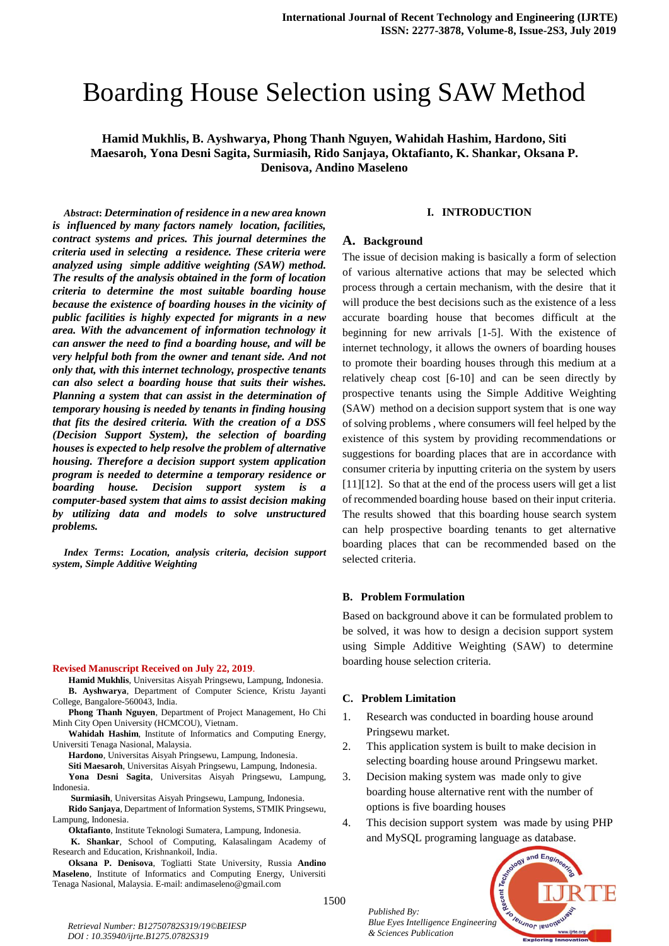# Boarding House Selection using SAW Method

**Hamid Mukhlis, B. Ayshwarya, Phong Thanh Nguyen, Wahidah Hashim, Hardono, Siti Maesaroh, Yona Desni Sagita, Surmiasih, Rido Sanjaya, Oktafianto, K. Shankar, Oksana P. Denisova, Andino Maseleno**

*Abstract***:** *Determination of residence in a new area known is influenced by many factors namely location, facilities, contract systems and prices. This journal determines the criteria used in selecting a residence. These criteria were analyzed using simple additive weighting (SAW) method. The results of the analysis obtained in the form of location criteria to determine the most suitable boarding house because the existence of boarding houses in the vicinity of public facilities is highly expected for migrants in a new area. With the advancement of information technology it can answer the need to find a boarding house, and will be very helpful both from the owner and tenant side. And not only that, with this internet technology, prospective tenants can also select a boarding house that suits their wishes. Planning a system that can assist in the determination of temporary housing is needed by tenants in finding housing that fits the desired criteria. With the creation of a DSS (Decision Support System), the selection of boarding houses is expected to help resolve the problem of alternative housing. Therefore a decision support system application program is needed to determine a temporary residence or boarding house. Decision support system is a computer-based system that aims to assist decision making by utilizing data and models to solve unstructured problems.*

*Index Terms***:** *Location, analysis criteria, decision support system, Simple Additive Weighting*

#### **Revised Manuscript Received on July 22, 2019**.

- **Hamid Mukhlis**, Universitas Aisyah Pringsewu, Lampung, Indonesia. **B. Ayshwarya**, Department of Computer Science, Kristu Jayanti College, Bangalore-560043, India.
- **Phong Thanh Nguyen**, Department of Project Management, Ho Chi Minh City Open University (HCMCOU), Vietnam.
- **Wahidah Hashim**, Institute of Informatics and Computing Energy, Universiti Tenaga Nasional, Malaysia.
	- **Hardono**, Universitas Aisyah Pringsewu, Lampung, Indonesia.
	- **Siti Maesaroh**, Universitas Aisyah Pringsewu, Lampung, Indonesia.
- **Yona Desni Sagita**, Universitas Aisyah Pringsewu, Lampung, Indonesia.
- **Surmiasih**, Universitas Aisyah Pringsewu, Lampung, Indonesia.
- **Rido Sanjaya**, Department of Information Systems, STMIK Pringsewu, Lampung, Indonesia.
	- **Oktafianto**, Institute Teknologi Sumatera, Lampung, Indonesia. **K. Shankar**, School of Computing, Kalasalingam Academy of
- Research and Education, Krishnankoil, India. **Oksana P. Denisova**, Togliatti State University, Russia **Andino Maseleno**, Institute of Informatics and Computing Energy, Universiti Tenaga Nasional, Malaysia. E-mail: andimaseleno@gmail.com

## **I. INTRODUCTION**

#### **A. Background**

The issue of decision making is basically a form of selection of various alternative actions that may be selected which process through a certain mechanism, with the desire that it will produce the best decisions such as the existence of a less accurate boarding house that becomes difficult at the beginning for new arrivals [1-5]. With the existence of internet technology, it allows the owners of boarding houses to promote their boarding houses through this medium at a relatively cheap cost [6-10] and can be seen directly by prospective tenants using the Simple Additive Weighting (SAW) method on a decision support system that is one way of solving problems , where consumers will feel helped by the existence of this system by providing recommendations or suggestions for boarding places that are in accordance with consumer criteria by inputting criteria on the system by users [11][12]. So that at the end of the process users will get a list of recommended boarding house based on their input criteria. The results showed that this boarding house search system can help prospective boarding tenants to get alternative boarding places that can be recommended based on the selected criteria.

## **B. Problem Formulation**

Based on background above it can be formulated problem to be solved, it was how to design a decision support system using Simple Additive Weighting (SAW) to determine boarding house selection criteria.

#### **C. Problem Limitation**

*Published By:*

*& Sciences Publication* 

- 1. Research was conducted in boarding house around Pringsewu market.
- 2. This application system is built to make decision in selecting boarding house around Pringsewu market.
- 3. Decision making system was made only to give boarding house alternative rent with the number of options is five boarding houses
- 4. This decision support system was made by using PHP and MySQL programing language as database.

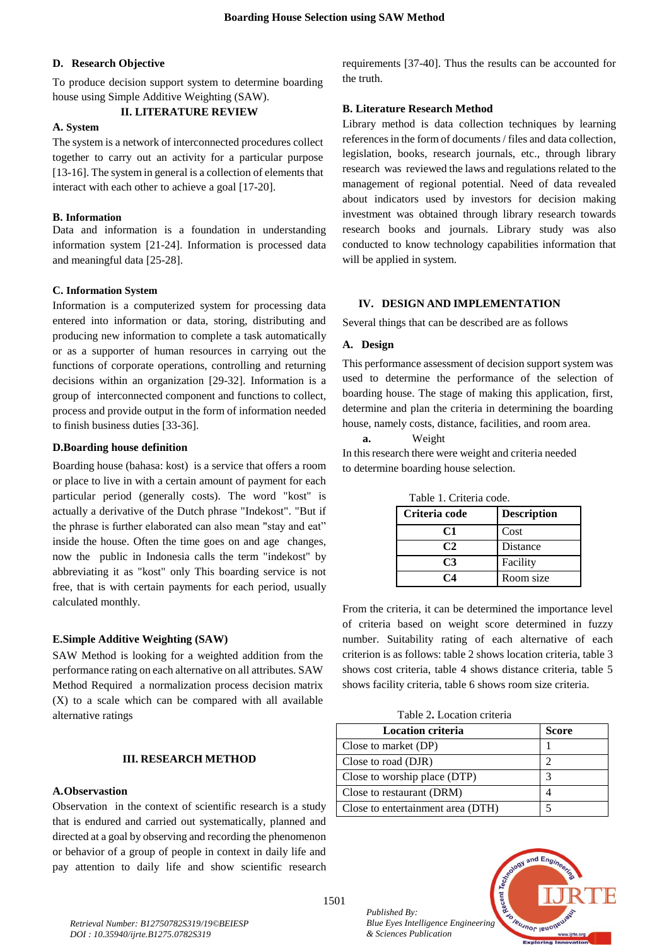# **D. Research Objective**

To produce decision support system to determine boarding house using Simple Additive Weighting (SAW).

#### **II. LITERATURE REVIEW**

# **A. System**

The system is a network of interconnected procedures collect together to carry out an activity for a particular purpose [13-16]. The system in general is a collection of elements that interact with each other to achieve a goal [17-20].

# **B. Information**

Data and information is a foundation in understanding information system [21-24]. Information is processed data and meaningful data [25-28].

# **C. Information System**

Information is a computerized system for processing data entered into information or data, storing, distributing and producing new information to complete a task automatically or as a supporter of human resources in carrying out the functions of corporate operations, controlling and returning decisions within an organization [29-32]. Information is a group of interconnected component and functions to collect, process and provide output in the form of information needed to finish business duties [33-36].

# **D.Boarding house definition**

Boarding house (bahasa: kost) is a service that offers a room or place to live in with a certain amount of payment for each particular period (generally costs). The word "kost" is actually a derivative of the Dutch phrase "Indekost". "But if the phrase is further elaborated can also mean "stay and eat" inside the house. Often the time goes on and age changes, now the public in Indonesia calls the term "indekost" by abbreviating it as "kost" only This boarding service is not free, that is with certain payments for each period, usually calculated monthly.

## **E.Simple Additive Weighting (SAW)**

SAW Method is looking for a weighted addition from the performance rating on each alternative on all attributes. SAW Method Required a normalization process decision matrix (X) to a scale which can be compared with all available alternative ratings

## **III. RESEARCH METHOD**

# **A.Observastion**

Observation in the context of scientific research is a study that is endured and carried out systematically, planned and directed at a goal by observing and recording the phenomenon or behavior of a group of people in context in daily life and pay attention to daily life and show scientific research requirements [37-40]. Thus the results can be accounted for the truth.

#### **B. Literature Research Method**

Library method is data collection techniques by learning references in the form of documents / files and data collection, legislation, books, research journals, etc., through library research was reviewed the laws and regulations related to the management of regional potential. Need of data revealed about indicators used by investors for decision making investment was obtained through library research towards research books and journals. Library study was also conducted to know technology capabilities information that will be applied in system.

# **IV. DESIGN AND IMPLEMENTATION**

Several things that can be described are as follows

#### **A. Design**

This performance assessment of decision support system was used to determine the performance of the selection of boarding house. The stage of making this application, first, determine and plan the criteria in determining the boarding house, namely costs, distance, facilities, and room area.

#### **a.** Weight

In this research there were weight and criteria needed to determine boarding house selection.

| Tabie I. Chiuna coue. |                    |  |
|-----------------------|--------------------|--|
| Criteria code         | <b>Description</b> |  |
| C1                    | Cost               |  |
| C2                    | Distance           |  |
| C3                    | Facility           |  |
|                       | Room size          |  |

Table 1. Criteria code.

From the criteria, it can be determined the importance level of criteria based on weight score determined in fuzzy number. Suitability rating of each alternative of each criterion is as follows: table 2 shows location criteria, table 3 shows cost criteria, table 4 shows distance criteria, table 5 shows facility criteria, table 6 shows room size criteria.

Table 2**.** Location criteria

| <b>Location criteria</b>          | <b>Score</b> |
|-----------------------------------|--------------|
| Close to market (DP)              |              |
| Close to road (DJR)               |              |
| Close to worship place (DTP)      | 2            |
| Close to restaurant (DRM)         |              |
| Close to entertainment area (DTH) |              |

*Published By: Blue Eyes Intelligence Engineering & Sciences Publication* 

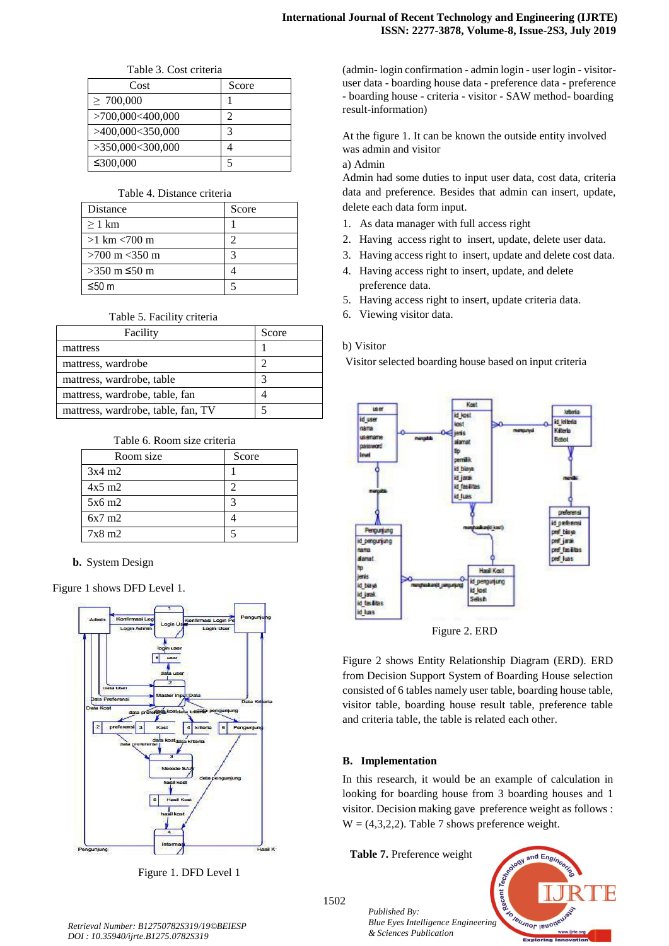Table 3. Cost criteria

| Cost             | Score |
|------------------|-------|
| $\geq 700,000$   |       |
| >700,000<400,000 |       |
| >400,000<350,000 |       |
| >350,000<300,000 |       |
| ≤300,000         |       |

# Table 4. Distance criteria

| <b>Distance</b>                  | Score |
|----------------------------------|-------|
| $\geq 1$ km                      |       |
| $>1$ km $< 700$ m                |       |
| $>700 \text{ m} < 350 \text{ m}$ |       |
| >350 m ≤50 m                     |       |
| $≤50$ m                          |       |

Table 5. Facility criteria

| Facility                           | Score |
|------------------------------------|-------|
| mattress                           |       |
| mattress, wardrobe                 |       |
| mattress, wardrobe, table          |       |
| mattress, wardrobe, table, fan     |       |
| mattress, wardrobe, table, fan, TV |       |

# Table 6. Room size criteria

| Room size        | Score |
|------------------|-------|
| $3x4 \text{ m}2$ |       |
| $4x5$ m2         |       |
| $5x6 \text{ m}2$ |       |
| $6x7 \text{ m}2$ |       |
| $7x8 \text{ m}2$ |       |

**b.** System Design

Figure 1 shows DFD Level 1.



Figure 1. DFD Level 1

(admin- login confirmation - admin login - user login - visitoruser data - boarding house data - preference data - preference - boarding house - criteria - visitor - SAW method- boarding result-information)

At the figure 1. It can be known the outside entity involved was admin and visitor

# a) Admin

Admin had some duties to input user data, cost data, criteria data and preference. Besides that admin can insert, update, delete each data form input.

- 1. As data manager with full access right
- 2. Having access right to insert, update, delete user data.
- 3. Having access right to insert, update and delete cost data.
- 4. Having access right to insert, update, and delete preference data.
- 5. Having access right to insert, update criteria data.
- 6. Viewing visitor data.

# b) Visitor

Visitor selected boarding house based on input criteria



Figure 2 shows Entity Relationship Diagram (ERD). ERD from Decision Support System of Boarding House selection consisted of 6 tables namely user table, boarding house table, visitor table, boarding house result table, preference table and criteria table, the table is related each other.

# **B. Implementation**

In this research, it would be an example of calculation in looking for boarding house from 3 boarding houses and 1 visitor. Decision making gave preference weight as follows :  $W = (4,3,2,2)$ . Table 7 shows preference weight.

**Table 7.** Preference weight

*& Sciences Publication* 

*Published By:*

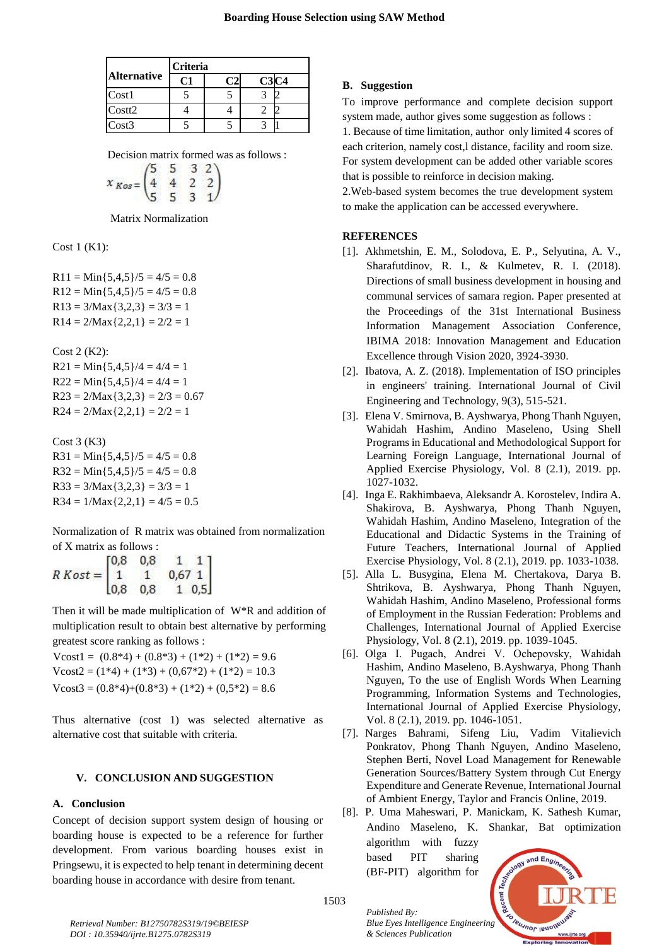|                    | <b>Criteria</b> |  |  |  |
|--------------------|-----------------|--|--|--|
| <b>Alternative</b> |                 |  |  |  |
| Cost1              |                 |  |  |  |
| Costt2             |                 |  |  |  |
| Cost3              |                 |  |  |  |

Decision matrix formed was as follows :

$$
x_{Kos} = \begin{pmatrix} 5 & 5 & 3 & 2 \\ 4 & 4 & 2 & 2 \\ 5 & 5 & 3 & 1 \end{pmatrix}
$$

Matrix Normalization

Cost 1 (K1):

 $R11 = Min\{5,4,5\}/5 = 4/5 = 0.8$  $R12 = Min\{5,4,5\}/5 = 4/5 = 0.8$  $R13 = 3/Max{3,2,3} = 3/3 = 1$  $R14 = 2/Max{2,2,1} = 2/2 = 1$ 

Cost 2 (K2):  $R21 = Min{5,4,5}/4 = 4/4 = 1$  $R22 = Min\{5,4,5\}/4 = 4/4 = 1$  $R23 = 2/Max{3,2,3} = 2/3 = 0.67$  $R24 = 2/Max{2,2,1} = 2/2 = 1$ 

Cost 3 (K3)  $R31 = Min\{5,4,5\}/5 = 4/5 = 0.8$  $R32 = Min\{5,4,5\}/5 = 4/5 = 0.8$  $R33 = 3/Max{3,2,3} = 3/3 = 1$  $R34 = 1/\text{Max}\{2,2,1\} = 4/5 = 0.5$ 

Normalization of R matrix was obtained from normalization of X matrix as follows :

|              | [0,8] | 0.8 |                                                     |
|--------------|-------|-----|-----------------------------------------------------|
| $R Kost = 1$ |       |     | $\begin{bmatrix} 0,67 & 1 \\ 1 & 0,5 \end{bmatrix}$ |
|              | 0.8   | 0.8 |                                                     |

Then it will be made multiplication of W\*R and addition of multiplication result to obtain best alternative by performing greatest score ranking as follows :

Vcost1 =  $(0.8*4) + (0.8*3) + (1*2) + (1*2) = 9.6$  $V\text{cost2} = (1*4) + (1*3) + (0.67*2) + (1*2) = 10.3$  $V\text{cost3} = (0.8*4) + (0.8*3) + (1*2) + (0.5*2) = 8.6$ 

Thus alternative (cost 1) was selected alternative as alternative cost that suitable with criteria.

## **V. CONCLUSION AND SUGGESTION**

## **A. Conclusion**

Concept of decision support system design of housing or boarding house is expected to be a reference for further development. From various boarding houses exist in Pringsewu, it is expected to help tenant in determining decent boarding house in accordance with desire from tenant.

# **B. Suggestion**

To improve performance and complete decision support system made, author gives some suggestion as follows :

1. Because of time limitation, author only limited 4 scores of each criterion, namely cost,l distance, facility and room size. For system development can be added other variable scores that is possible to reinforce in decision making.

2.Web-based system becomes the true development system to make the application can be accessed everywhere.

## **REFERENCES**

- [1]. Akhmetshin, E. M., Solodova, E. P., Selyutina, A. V., Sharafutdinov, R. I., & Kulmetev, R. I. (2018). Directions of small business development in housing and communal services of samara region. Paper presented at the Proceedings of the 31st International Business Information Management Association Conference, IBIMA 2018: Innovation Management and Education Excellence through Vision 2020, 3924-3930.
- [2]. Ibatova, A. Z. (2018). Implementation of ISO principles in engineers' training. International Journal of Civil Engineering and Technology, 9(3), 515-521.
- [3]. Elena V. Smirnova, B. Ayshwarya, Phong Thanh Nguyen, Wahidah Hashim, Andino Maseleno, Using Shell Programs in Educational and Methodological Support for Learning Foreign Language, International Journal of Applied Exercise Physiology, Vol. 8 (2.1), 2019. pp. 1027-1032.
- [4]. Inga E. Rakhimbaeva, Aleksandr A. Korostelev, Indira A. Shakirova, B. Ayshwarya, Phong Thanh Nguyen, Wahidah Hashim, Andino Maseleno, Integration of the Educational and Didactic Systems in the Training of Future Teachers, International Journal of Applied Exercise Physiology, Vol. 8 (2.1), 2019. pp. 1033-1038.
- [5]. Alla L. Busygina, Elena M. Chertakova, Darya B. Shtrikova, B. Ayshwarya, Phong Thanh Nguyen, Wahidah Hashim, Andino Maseleno, Professional forms of Employment in the Russian Federation: Problems and Challenges, International Journal of Applied Exercise Physiology, Vol. 8 (2.1), 2019. pp. 1039-1045.
- [6]. Olga I. Pugach, Andrei V. Оchepovsky, Wahidah Hashim, Andino Maseleno, B.Ayshwarya, Phong Thanh Nguyen, To the use of English Words When Learning Programming, Information Systems and Technologies, International Journal of Applied Exercise Physiology, Vol. 8 (2.1), 2019. pp. 1046-1051.
- [7]. Narges Bahrami, Sifeng Liu, Vadim Vitalievich Ponkratov, Phong Thanh Nguyen, Andino Maseleno, Stephen Berti, Novel Load Management for Renewable Generation Sources/Battery System through Cut Energy Expenditure and Generate Revenue, International Journal of Ambient Energy, Taylor and Francis Online, 2019.
- [8]. P. Uma Maheswari, P. Manickam, K. Sathesh Kumar, Andino Maseleno, K. Shankar, Bat optimization algorithm with fuzzy based PIT sharing and Engi (BF-PIT) algorithm for



1503

*Published By:*

*& Sciences Publication*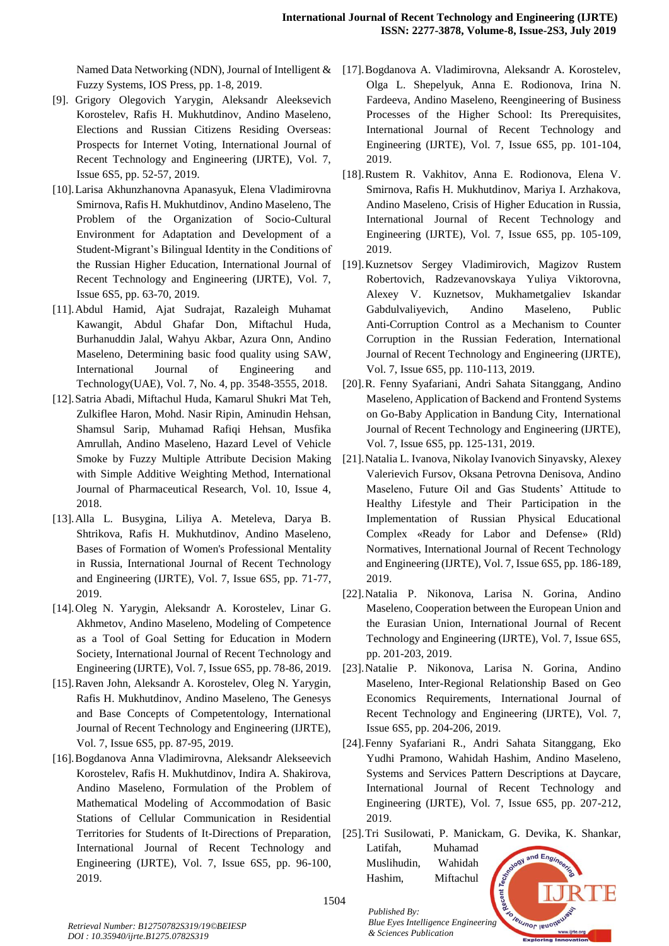Fuzzy Systems, IOS Press, pp. 1-8, 2019.

- [9]. Grigory Olegovich Yarygin, Aleksandr Aleeksevich Korostelev, Rafis H. Mukhutdinov, Andino Maseleno, Elections and Russian Citizens Residing Overseas: Prospects for Internet Voting, International Journal of Recent Technology and Engineering (IJRTE), Vol. 7, Issue 6S5, pp. 52-57, 2019.
- [10].Larisa Akhunzhanovna Apanasyuk, Elena Vladimirovna Smirnova, Rafis H. Mukhutdinov, Andino Maseleno, The Problem of the Organization of Socio-Cultural Environment for Adaptation and Development of a Student-Migrant's Bilingual Identity in the Conditions of the Russian Higher Education, International Journal of Recent Technology and Engineering (IJRTE), Vol. 7, Issue 6S5, pp. 63-70, 2019.
- [11].Abdul Hamid, Ajat Sudrajat, Razaleigh Muhamat Kawangit, Abdul Ghafar Don, Miftachul Huda, Burhanuddin Jalal, Wahyu Akbar, Azura Onn, Andino Maseleno, Determining basic food quality using SAW, International Journal of Engineering and Technology(UAE), Vol. 7, No. 4, pp. 3548-3555, 2018.
- [12].Satria Abadi, Miftachul Huda, Kamarul Shukri Mat Teh, Zulkiflee Haron, Mohd. Nasir Ripin, Aminudin Hehsan, Shamsul Sarip, Muhamad Rafiqi Hehsan, Musfika Amrullah, Andino Maseleno, Hazard Level of Vehicle Smoke by Fuzzy Multiple Attribute Decision Making with Simple Additive Weighting Method, International Journal of Pharmaceutical Research, Vol. 10, Issue 4, 2018.
- [13].Alla L. Busygina, Liliya A. Meteleva, Darya B. Shtrikova, Rafis H. Mukhutdinov, Andino Maseleno, Bases of Formation of Women's Professional Mentality in Russia, International Journal of Recent Technology and Engineering (IJRTE), Vol. 7, Issue 6S5, pp. 71-77, 2019.
- [14].Oleg N. Yarygin, Aleksandr A. Korostelev, Linar G. Akhmetov, Andino Maseleno, Modeling of Competence as a Tool of Goal Setting for Education in Modern Society, International Journal of Recent Technology and Engineering (IJRTE), Vol. 7, Issue 6S5, pp. 78-86, 2019.
- [15].Raven John, Aleksandr A. Korostelev, Oleg N. Yarygin, Rafis H. Mukhutdinov, Andino Maseleno, The Genesys and Base Concepts of Competentology, International Journal of Recent Technology and Engineering (IJRTE), Vol. 7, Issue 6S5, pp. 87-95, 2019.
- [16].Bogdanova Anna Vladimirovna, Aleksandr Alekseevich Korostelev, Rafis H. Mukhutdinov, Indira A. Shakirova, Andino Maseleno, Formulation of the Problem of Mathematical Modeling of Accommodation of Basic Stations of Cellular Communication in Residential Territories for Students of It-Directions of Preparation, International Journal of Recent Technology and Engineering (IJRTE), Vol. 7, Issue 6S5, pp. 96-100, 2019.
- Named Data Networking (NDN), Journal of Intelligent & [17]. Bogdanova A. Vladimirovna, Aleksandr A. Korostelev, Olga L. Shepelyuk, Anna E. Rodionova, Irina N. Fardeeva, Andino Maseleno, Reengineering of Business Processes of the Higher School: Its Prerequisites, International Journal of Recent Technology and Engineering (IJRTE), Vol. 7, Issue 6S5, pp. 101-104, 2019.
	- [18].Rustem R. Vakhitov, Anna E. Rodionova, Elena V. Smirnova, Rafis H. Mukhutdinov, Mariya I. Arzhakova, Andino Maseleno, Crisis of Higher Education in Russia, International Journal of Recent Technology and Engineering (IJRTE), Vol. 7, Issue 6S5, pp. 105-109, 2019.
	- [19].Kuznetsov Sergey Vladimirovich, Magizov Rustem Robertovich, Radzevanovskaya Yuliya Viktorovna, Alexey V. Kuznetsov, Mukhametgaliev Iskandar Gabdulvaliyevich, Andino Maseleno, Public Anti-Corruption Control as a Mechanism to Counter Corruption in the Russian Federation, International Journal of Recent Technology and Engineering (IJRTE), Vol. 7, Issue 6S5, pp. 110-113, 2019.
	- [20].R. Fenny Syafariani, Andri Sahata Sitanggang, Andino Maseleno, Application of Backend and Frontend Systems on Go-Baby Application in Bandung City, International Journal of Recent Technology and Engineering (IJRTE), Vol. 7, Issue 6S5, pp. 125-131, 2019.
	- [21].Natalia L. Ivanova, Nikolay Ivanovich Sinyavsky, Alexey Valerievich Fursov, Oksana Petrovna Denisova, Andino Maseleno, Future Oil and Gas Students' Attitude to Healthy Lifestyle and Their Participation in the Implementation of Russian Physical Educational Complex «Ready for Labor and Defense» (Rld) Normatives, International Journal of Recent Technology and Engineering (IJRTE), Vol. 7, Issue 6S5, pp. 186-189, 2019.
	- [22].Natalia P. Nikonova, Larisa N. Gorina, Andino Maseleno, Cooperation between the European Union and the Eurasian Union, International Journal of Recent Technology and Engineering (IJRTE), Vol. 7, Issue 6S5, pp. 201-203, 2019.
	- [23].Natalie P. Nikonova, Larisa N. Gorina, Andino Maseleno, Inter-Regional Relationship Based on Geo Economics Requirements, International Journal of Recent Technology and Engineering (IJRTE), Vol. 7, Issue 6S5, pp. 204-206, 2019.
	- [24].Fenny Syafariani R., Andri Sahata Sitanggang, Eko Yudhi Pramono, Wahidah Hashim, Andino Maseleno, Systems and Services Pattern Descriptions at Daycare, International Journal of Recent Technology and Engineering (IJRTE), Vol. 7, Issue 6S5, pp. 207-212, 2019.
	- [25].Tri Susilowati, P. Manickam, G. Devika, K. Shankar, Latifah, Muhamad and Engr Muslihudin, Wahidah
		- *Blue Eyes Intelligence Engineering*<br>*Blue Eyes Intelligence Engineering*

*Published By:*

*& Sciences Publication* 

Hashim, Miftachul